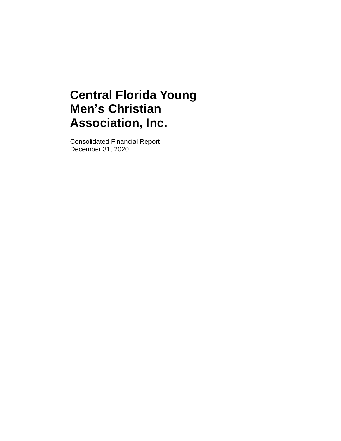Consolidated Financial Report December 31, 2020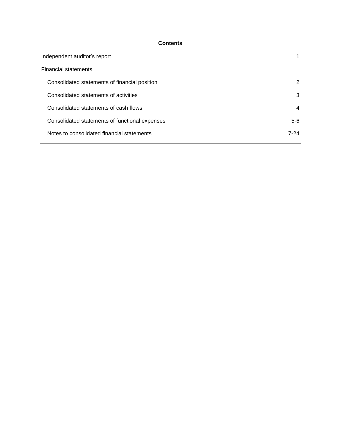# **Contents**

| Independent auditor's report                   |       |
|------------------------------------------------|-------|
| <b>Financial statements</b>                    |       |
| Consolidated statements of financial position  | 2     |
| Consolidated statements of activities          | 3     |
| Consolidated statements of cash flows          | 4     |
| Consolidated statements of functional expenses | $5-6$ |
| Notes to consolidated financial statements     | 7-24  |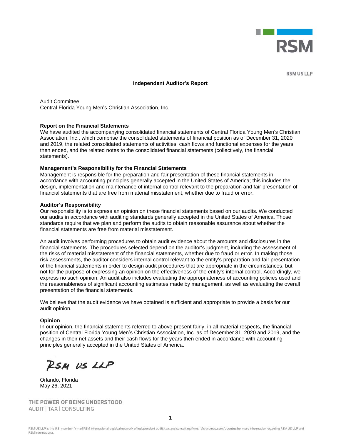

**RSM US LLP** 

#### **Independent Auditor's Report**

Audit Committee Central Florida Young Men's Christian Association, Inc.

#### **Report on the Financial Statements**

We have audited the accompanying consolidated financial statements of Central Florida Young Men's Christian Association, Inc., which comprise the consolidated statements of financial position as of December 31, 2020 and 2019, the related consolidated statements of activities, cash flows and functional expenses for the years then ended, and the related notes to the consolidated financial statements (collectively, the financial statements).

#### **Management's Responsibility for the Financial Statements**

Management is responsible for the preparation and fair presentation of these financial statements in accordance with accounting principles generally accepted in the United States of America; this includes the design, implementation and maintenance of internal control relevant to the preparation and fair presentation of financial statements that are free from material misstatement, whether due to fraud or error.

#### **Auditor's Responsibility**

Our responsibility is to express an opinion on these financial statements based on our audits. We conducted our audits in accordance with auditing standards generally accepted in the United States of America. Those standards require that we plan and perform the audits to obtain reasonable assurance about whether the financial statements are free from material misstatement.

An audit involves performing procedures to obtain audit evidence about the amounts and disclosures in the financial statements. The procedures selected depend on the auditor's judgment, including the assessment of the risks of material misstatement of the financial statements, whether due to fraud or error. In making those risk assessments, the auditor considers internal control relevant to the entity's preparation and fair presentation of the financial statements in order to design audit procedures that are appropriate in the circumstances, but not for the purpose of expressing an opinion on the effectiveness of the entity's internal control. Accordingly, we express no such opinion. An audit also includes evaluating the appropriateness of accounting policies used and the reasonableness of significant accounting estimates made by management, as well as evaluating the overall presentation of the financial statements.

We believe that the audit evidence we have obtained is sufficient and appropriate to provide a basis for our audit opinion.

#### **Opinion**

In our opinion, the financial statements referred to above present fairly, in all material respects, the financial position of Central Florida Young Men's Christian Association, Inc. as of December 31, 2020 and 2019, and the changes in their net assets and their cash flows for the years then ended in accordance with accounting principles generally accepted in the United States of America.

RSM US LLP

Orlando, Florida May 26, 2021

THE POWER OF BEING UNDERSTOOD AUDIT | TAX | CONSULTING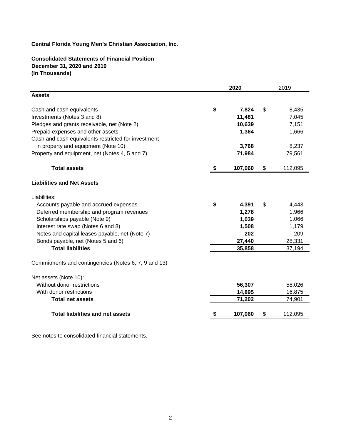# **Consolidated Statements of Financial Position December 31, 2020 and 2019 (In Thousands)**

|                                                                                            | 2020 |         |    | 2019    |
|--------------------------------------------------------------------------------------------|------|---------|----|---------|
| <b>Assets</b>                                                                              |      |         |    |         |
| Cash and cash equivalents                                                                  | \$   | 7,824   | \$ | 8,435   |
| Investments (Notes 3 and 8)                                                                |      | 11,481  |    | 7,045   |
| Pledges and grants receivable, net (Note 2)                                                |      | 10,639  |    | 7,151   |
| Prepaid expenses and other assets                                                          |      | 1,364   |    | 1,666   |
| Cash and cash equivalents restricted for investment<br>in property and equipment (Note 10) |      | 3,768   |    | 8,237   |
| Property and equipment, net (Notes 4, 5 and 7)                                             |      | 71,984  |    | 79,561  |
| <b>Total assets</b>                                                                        | - 5  | 107,060 | \$ | 112,095 |
| <b>Liabilities and Net Assets</b>                                                          |      |         |    |         |
| Liabilities:                                                                               |      |         |    |         |
| Accounts payable and accrued expenses                                                      | \$   | 4,391   | \$ | 4,443   |
| Deferred membership and program revenues                                                   |      | 1,278   |    | 1,966   |
| Scholarships payable (Note 9)                                                              |      | 1,039   |    | 1,066   |
| Interest rate swap (Notes 6 and 8)                                                         |      | 1,508   |    | 1,179   |
| Notes and capital leases payable, net (Note 7)                                             |      | 202     |    | 209     |
| Bonds payable, net (Notes 5 and 6)                                                         |      | 27,440  |    | 28,331  |
| <b>Total liabilities</b>                                                                   |      | 35,858  |    | 37,194  |
| Commitments and contingencies (Notes 6, 7, 9 and 13)                                       |      |         |    |         |
| Net assets (Note 10):                                                                      |      |         |    |         |
| Without donor restrictions                                                                 |      | 56,307  |    | 58,026  |
| With donor restrictions                                                                    |      | 14,895  |    | 16,875  |
| <b>Total net assets</b>                                                                    |      | 71,202  |    | 74,901  |
| <b>Total liabilities and net assets</b>                                                    |      |         | \$ |         |
|                                                                                            |      | 107,060 |    | 112,095 |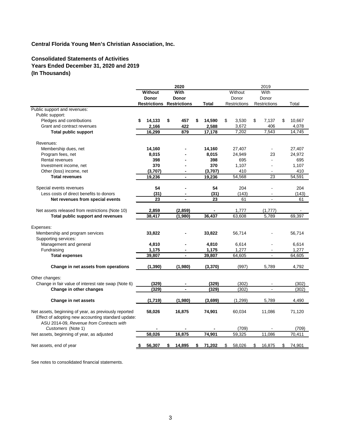# **Consolidated Statements of Activities Years Ended December 31, 2020 and 2019 (In Thousands)**

|                                                                                                                                                         |                     | 2020                |              |              | 2019         |              |
|---------------------------------------------------------------------------------------------------------------------------------------------------------|---------------------|---------------------|--------------|--------------|--------------|--------------|
|                                                                                                                                                         | Without             | With                |              | Without      | With         |              |
|                                                                                                                                                         | Donor               | Donor               |              | Donor        | Donor        |              |
|                                                                                                                                                         | <b>Restrictions</b> | <b>Restrictions</b> | <b>Total</b> | Restrictions | Restrictions | Total        |
| Public support and revenues:                                                                                                                            |                     |                     |              |              |              |              |
| Public support:                                                                                                                                         |                     |                     |              |              |              |              |
| Pledges and contributions                                                                                                                               | 14,133<br>\$        | 457<br>\$           | \$<br>14,590 | \$<br>3,530  | \$<br>7,137  | \$<br>10,667 |
| Grant and contract revenues                                                                                                                             | 2,166               | 422                 | 2,588        | 3,672        | 406          | 4,078        |
| <b>Total public support</b>                                                                                                                             | 16,299              | 879                 | 17,178       | 7,202        | 7,543        | 14,745       |
| Revenues:                                                                                                                                               |                     |                     |              |              |              |              |
| Membership dues, net                                                                                                                                    | 14,160              |                     | 14,160       | 27,407       |              | 27,407       |
| Program fees, net                                                                                                                                       | 8,015               |                     | 8,015        | 24,949       | 23           | 24,972       |
| Rental revenues                                                                                                                                         | 398                 |                     | 398          | 695          |              | 695          |
| Investment income, net                                                                                                                                  | 370                 |                     | 370          | 1,107        |              | 1,107        |
| Other (loss) income, net                                                                                                                                | (3,707)             | $\blacksquare$      | (3,707)      | 410          |              | 410          |
| <b>Total revenues</b>                                                                                                                                   | 19,236              | L.                  | 19,236       | 54,568       | 23           | 54,591       |
|                                                                                                                                                         |                     |                     |              |              |              |              |
| Special events revenues                                                                                                                                 | 54                  |                     | 54           | 204          |              | 204          |
| Less costs of direct benefits to donors                                                                                                                 | (31)                |                     | (31)         | (143)        |              | (143)        |
| Net revenues from special events                                                                                                                        | 23                  | $\blacksquare$      | 23           | 61           | $\mathbf{r}$ | 61           |
| Net assets released from restrictions (Note 10)                                                                                                         | 2,859               | (2,859)             |              | 1,777        | (1,777)      |              |
| Total public support and revenues                                                                                                                       | 38,417              | (1,980)             | 36,437       | 63,608       | 5,789        | 69,397       |
|                                                                                                                                                         |                     |                     |              |              |              |              |
| Expenses:                                                                                                                                               |                     |                     |              |              |              |              |
| Membership and program services                                                                                                                         | 33,822              |                     | 33,822       | 56,714       |              | 56,714       |
| Supporting services:                                                                                                                                    |                     |                     |              |              |              |              |
| Management and general                                                                                                                                  | 4,810               |                     | 4,810        | 6,614        |              | 6,614        |
| Fundraising                                                                                                                                             | 1,175               |                     | 1,175        | 1,277        |              | 1,277        |
| <b>Total expenses</b>                                                                                                                                   | 39,807              | $\blacksquare$      | 39,807       | 64,605       |              | 64,605       |
| Change in net assets from operations                                                                                                                    | (1, 390)            | (1,980)             | (3,370)      | (997)        | 5,789        | 4,792        |
|                                                                                                                                                         |                     |                     |              |              |              |              |
| Other changes:                                                                                                                                          |                     |                     |              |              |              |              |
| Change in fair value of interest rate swap (Note 6)                                                                                                     | (329)               |                     | (329)        | (302)        |              | (302)        |
| Change in other changes                                                                                                                                 | (329)               |                     | (329)        | (302)        |              | (302)        |
| Change in net assets                                                                                                                                    | (1,719)             | (1,980)             | (3,699)      | (1, 299)     | 5,789        | 4,490        |
| Net assets, beginning of year, as previously reported<br>Effect of adopting new accounting standard update:<br>ASU 2014-09, Revenue from Contracts with | 58,026              | 16,875              | 74,901       | 60,034       | 11,086       | 71,120       |
| Customers (Note 1)                                                                                                                                      |                     |                     |              | (709)        |              | (709)        |
| Net assets, beginning of year, as adjusted                                                                                                              | 58,026              | 16,875              | 74,901       | 59,325       | 11,086       | 70,411       |
|                                                                                                                                                         |                     |                     |              |              |              |              |
| Net assets, end of year                                                                                                                                 | 56,307<br>\$        | 14,895<br>\$        | \$<br>71,202 | \$<br>58,026 | \$<br>16,875 | \$<br>74,901 |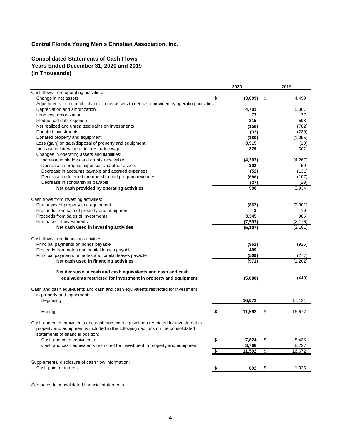# **Consolidated Statements of Cash Flows Years Ended December 31, 2020 and 2019 (In Thousands)**

|                                                                                             | 2020          |    | 2019     |
|---------------------------------------------------------------------------------------------|---------------|----|----------|
| Cash flows from operating activities:                                                       |               |    |          |
| Change in net assets                                                                        | \$<br>(3,699) | \$ | 4,490    |
| Adjustments to reconcile change in net assets to net cash provided by operating activities: |               |    |          |
| Depreciation and amortization                                                               | 4,701         |    | 5,067    |
| Loan cost amortization                                                                      | 73            |    | 77       |
| Pledge bad debt expense                                                                     | 815           |    | 598      |
| Net realized and unrealized gains on investments                                            | (156)         |    | (782)    |
| Donated investments                                                                         | (32)          |    | (239)    |
| Donated property and equipment                                                              | (180)         |    | (1,095)  |
| Loss (gain) on sale/disposal of property and equipment                                      | 3,915         |    | (10)     |
| Increase in fair value of interest rate swap                                                | 329           |    | 302      |
| Changes in operating assets and liabilities:                                                |               |    |          |
| Increase in pledges and grants receivable                                                   | (4,303)       |    | (4,267)  |
| Decrease in prepaid expenses and other assets                                               | 302           |    | 59       |
| Decrease in accounts payable and accrued expenses                                           | (52)          |    | (131)    |
| Decrease in deferred membership and program revenues                                        | (688)         |    | (107)    |
| Decrease in scholarships payable                                                            | (27)          |    | (28)     |
| Net cash provided by operating activities                                                   | 998           |    | 3,934    |
|                                                                                             |               |    |          |
| Cash flows from investing activities:                                                       |               |    |          |
| Purchases of property and equipment                                                         | (862)         |    | (2,001)  |
| Proceeds from sale of property and equipment                                                | 3             |    | 10       |
| Proceeds from sales of investments                                                          | 3,345         |    | 986      |
| Purchases of investments                                                                    | (7, 593)      |    | (2, 176) |
| Net cash used in investing activities                                                       | (5, 107)      |    | (3, 181) |
| Cash flows from financing activities:                                                       |               |    |          |
| Principal payments on bonds payable                                                         | (961)         |    | (925)    |
| Proceeds from notes and capital leases payable                                              | 499           |    |          |
| Principal payments on notes and capital leases payable                                      | (509)         |    | (277)    |
| Net cash used in financing activities                                                       | (971)         |    | (1,202)  |
|                                                                                             |               |    |          |
| Net decrease in cash and cash equivalents and cash and cash                                 |               |    |          |
| equivalents restricted for investment in property and equipment                             | (5,080)       |    | (449)    |
|                                                                                             |               |    |          |
| Cash and cash equivalents and cash and cash equivalents restricted for investment           |               |    |          |
| in property and equipment:                                                                  |               |    |          |
| Beginning                                                                                   | 16,672        |    | 17,121   |
|                                                                                             |               |    |          |
| Ending                                                                                      | 11,592        | \$ | 16,672   |
| Cash and cash equivalents and cash and cash equivalents restricted for investment in        |               |    |          |
| property and equipment is included in the following captions on the consolidated            |               |    |          |
| statements of financial position:                                                           |               |    |          |
| Cash and cash equivalents                                                                   | \$<br>7,824   | \$ | 8,435    |
| Cash and cash equivalents restricted for investment in property and equipment               | 3,768         |    | 8,237    |
|                                                                                             | 11,592        | \$ | 16,672   |
|                                                                                             |               |    |          |
| Supplemental disclosure of cash flow information:                                           |               |    |          |
| Cash paid for interest                                                                      | 892           | S  | 1,026    |
|                                                                                             |               |    |          |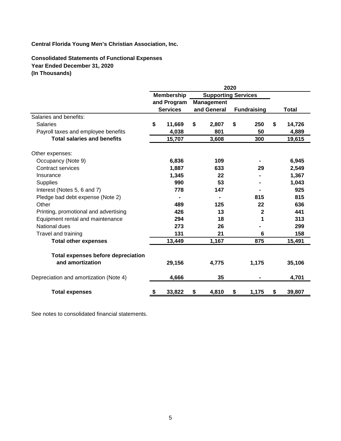# **Consolidated Statements of Functional Expenses Year Ended December 31, 2020 (In Thousands)**

|                                           |                   |                            | 2020 |                    |    |        |
|-------------------------------------------|-------------------|----------------------------|------|--------------------|----|--------|
|                                           | <b>Membership</b> | <b>Supporting Services</b> |      |                    |    |        |
|                                           | and Program       | <b>Management</b>          |      |                    |    |        |
|                                           | <b>Services</b>   | and General                |      | <b>Fundraising</b> |    | Total  |
| Salaries and benefits:                    |                   |                            |      |                    |    |        |
| <b>Salaries</b>                           | \$<br>11,669      | \$<br>2,807                | \$   | 250                | \$ | 14,726 |
| Payroll taxes and employee benefits       | 4,038             | 801                        |      | 50                 |    | 4,889  |
| <b>Total salaries and benefits</b>        | 15,707            | 3,608                      |      | 300                |    | 19,615 |
| Other expenses:                           |                   |                            |      |                    |    |        |
| Occupancy (Note 9)                        | 6,836             | 109                        |      |                    |    | 6,945  |
| Contract services                         | 1,887             | 633                        |      | 29                 |    | 2,549  |
| Insurance                                 | 1,345             | 22                         |      |                    |    | 1,367  |
| <b>Supplies</b>                           | 990               | 53                         |      |                    |    | 1,043  |
| Interest (Notes 5, 6 and 7)               | 778               | 147                        |      |                    |    | 925    |
| Pledge bad debt expense (Note 2)          |                   |                            |      | 815                |    | 815    |
| Other                                     | 489               | 125                        |      | 22                 |    | 636    |
| Printing, promotional and advertising     | 426               | 13                         |      | 2                  |    | 441    |
| Equipment rental and maintenance          | 294               | 18                         |      |                    |    | 313    |
| <b>National dues</b>                      | 273               | 26                         |      |                    |    | 299    |
| Travel and training                       | 131               | 21                         |      | 6                  |    | 158    |
| <b>Total other expenses</b>               | 13,449            | 1,167                      |      | 875                |    | 15,491 |
| <b>Total expenses before depreciation</b> |                   |                            |      |                    |    |        |
| and amortization                          | 29,156            | 4,775                      |      | 1,175              |    | 35,106 |
| Depreciation and amortization (Note 4)    | 4,666             | 35                         |      |                    |    | 4,701  |
| <b>Total expenses</b>                     | \$<br>33,822      | \$<br>4,810                | \$   | 1,175              | S  | 39,807 |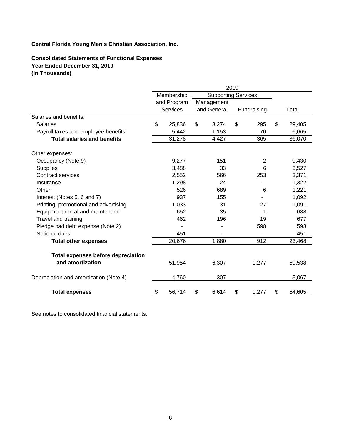# **Consolidated Statements of Functional Expenses Year Ended December 31, 2019 (In Thousands)**

|                                           | 2019        |                 |            |                            |    |             |    |        |  |
|-------------------------------------------|-------------|-----------------|------------|----------------------------|----|-------------|----|--------|--|
|                                           |             | Membership      |            | <b>Supporting Services</b> |    |             |    |        |  |
|                                           | and Program |                 | Management |                            |    |             |    |        |  |
|                                           |             | <b>Services</b> |            | and General                |    | Fundraising |    | Total  |  |
| Salaries and benefits:                    |             |                 |            |                            |    |             |    |        |  |
| <b>Salaries</b>                           | \$          | 25,836          | \$         | 3,274                      | \$ | 295         | \$ | 29,405 |  |
| Payroll taxes and employee benefits       |             | 5,442           |            | 1,153                      |    | 70          |    | 6,665  |  |
| <b>Total salaries and benefits</b>        |             | 31,278          |            | 4,427                      |    | 365         |    | 36,070 |  |
| Other expenses:                           |             |                 |            |                            |    |             |    |        |  |
| Occupancy (Note 9)                        |             | 9,277           |            | 151                        |    | 2           |    | 9,430  |  |
| <b>Supplies</b>                           |             | 3,488           |            | 33                         |    | 6           |    | 3,527  |  |
| Contract services                         |             | 2,552           |            | 566                        |    | 253         |    | 3,371  |  |
| Insurance                                 |             | 1,298           |            | 24                         |    |             |    | 1,322  |  |
| Other                                     |             | 526             |            | 689                        |    | 6           |    | 1,221  |  |
| Interest (Notes 5, 6 and 7)               |             | 937             |            | 155                        |    |             |    | 1,092  |  |
| Printing, promotional and advertising     |             | 1,033           |            | 31                         |    | 27          |    | 1,091  |  |
| Equipment rental and maintenance          |             | 652             |            | 35                         |    | 1           |    | 688    |  |
| Travel and training                       |             | 462             |            | 196                        |    | 19          |    | 677    |  |
| Pledge bad debt expense (Note 2)          |             |                 |            |                            |    | 598         |    | 598    |  |
| <b>National dues</b>                      |             | 451             |            |                            |    |             |    | 451    |  |
| <b>Total other expenses</b>               |             | 20,676          |            | 1,880                      |    | 912         |    | 23,468 |  |
| <b>Total expenses before depreciation</b> |             |                 |            |                            |    |             |    |        |  |
| and amortization                          |             | 51,954          |            | 6,307                      |    | 1,277       |    | 59,538 |  |
| Depreciation and amortization (Note 4)    |             | 4,760           |            | 307                        |    |             |    | 5,067  |  |
| <b>Total expenses</b>                     | \$          | 56,714          | \$         | 6,614                      | \$ | 1,277       | \$ | 64,605 |  |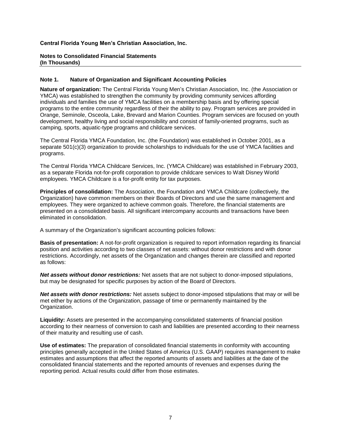#### **Notes to Consolidated Financial Statements (In Thousands)**

#### **Note 1. Nature of Organization and Significant Accounting Policies**

**Nature of organization:** The Central Florida Young Men's Christian Association, Inc. (the Association or YMCA) was established to strengthen the community by providing community services affording individuals and families the use of YMCA facilities on a membership basis and by offering special programs to the entire community regardless of their the ability to pay. Program services are provided in Orange, Seminole, Osceola, Lake, Brevard and Marion Counties. Program services are focused on youth development, healthy living and social responsibility and consist of family-oriented programs, such as camping, sports, aquatic-type programs and childcare services.

The Central Florida YMCA Foundation, Inc. (the Foundation) was established in October 2001, as a separate 501(c)(3) organization to provide scholarships to individuals for the use of YMCA facilities and programs.

The Central Florida YMCA Childcare Services, Inc. (YMCA Childcare) was established in February 2003, as a separate Florida not-for-profit corporation to provide childcare services to Walt Disney World employees. YMCA Childcare is a for-profit entity for tax purposes.

**Principles of consolidation:** The Association, the Foundation and YMCA Childcare (collectively, the Organization) have common members on their Boards of Directors and use the same management and employees. They were organized to achieve common goals. Therefore, the financial statements are presented on a consolidated basis. All significant intercompany accounts and transactions have been eliminated in consolidation.

A summary of the Organization's significant accounting policies follows:

**Basis of presentation:** A not-for-profit organization is required to report information regarding its financial position and activities according to two classes of net assets: without donor restrictions and with donor restrictions. Accordingly, net assets of the Organization and changes therein are classified and reported as follows:

*Net assets without donor restrictions:* Net assets that are not subject to donor-imposed stipulations, but may be designated for specific purposes by action of the Board of Directors.

*Net assets with donor restrictions:* Net assets subject to donor-imposed stipulations that may or will be met either by actions of the Organization, passage of time or permanently maintained by the Organization.

**Liquidity:** Assets are presented in the accompanying consolidated statements of financial position according to their nearness of conversion to cash and liabilities are presented according to their nearness of their maturity and resulting use of cash.

**Use of estimates:** The preparation of consolidated financial statements in conformity with accounting principles generally accepted in the United States of America (U.S. GAAP) requires management to make estimates and assumptions that affect the reported amounts of assets and liabilities at the date of the consolidated financial statements and the reported amounts of revenues and expenses during the reporting period. Actual results could differ from those estimates.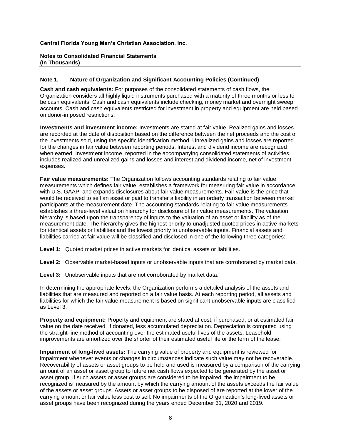#### **Notes to Consolidated Financial Statements (In Thousands)**

#### **Note 1. Nature of Organization and Significant Accounting Policies (Continued)**

**Cash and cash equivalents:** For purposes of the consolidated statements of cash flows, the Organization considers all highly liquid instruments purchased with a maturity of three months or less to be cash equivalents. Cash and cash equivalents include checking, money market and overnight sweep accounts. Cash and cash equivalents restricted for investment in property and equipment are held based on donor-imposed restrictions.

**Investments and investment income:** Investments are stated at fair value. Realized gains and losses are recorded at the date of disposition based on the difference between the net proceeds and the cost of the investments sold, using the specific identification method. Unrealized gains and losses are reported for the changes in fair value between reporting periods. Interest and dividend income are recognized when earned. Investment income, reported in the accompanying consolidated statements of activities, includes realized and unrealized gains and losses and interest and dividend income, net of investment expenses.

**Fair value measurements:** The Organization follows accounting standards relating to fair value measurements which defines fair value, establishes a framework for measuring fair value in accordance with U.S. GAAP, and expands disclosures about fair value measurements. Fair value is the price that would be received to sell an asset or paid to transfer a liability in an orderly transaction between market participants at the measurement date. The accounting standards relating to fair value measurements establishes a three-level valuation hierarchy for disclosure of fair value measurements. The valuation hierarchy is based upon the transparency of inputs to the valuation of an asset or liability as of the measurement date. The hierarchy gives the highest priority to unadjusted quoted prices in active markets for identical assets or liabilities and the lowest priority to unobservable inputs. Financial assets and liabilities carried at fair value will be classified and disclosed in one of the following three categories:

**Level 1:** Quoted market prices in active markets for identical assets or liabilities.

**Level 2:** Observable market-based inputs or unobservable inputs that are corroborated by market data.

**Level 3:** Unobservable inputs that are not corroborated by market data.

In determining the appropriate levels, the Organization performs a detailed analysis of the assets and liabilities that are measured and reported on a fair value basis. At each reporting period, all assets and liabilities for which the fair value measurement is based on significant unobservable inputs are classified as Level 3.

**Property and equipment:** Property and equipment are stated at cost, if purchased, or at estimated fair value on the date received, if donated, less accumulated depreciation. Depreciation is computed using the straight-line method of accounting over the estimated useful lives of the assets. Leasehold improvements are amortized over the shorter of their estimated useful life or the term of the lease.

**Impairment of long-lived assets:** The carrying value of property and equipment is reviewed for impairment whenever events or changes in circumstances indicate such value may not be recoverable. Recoverability of assets or asset groups to be held and used is measured by a comparison of the carrying amount of an asset or asset group to future net cash flows expected to be generated by the asset or asset group. If such assets or asset groups are considered to be impaired, the impairment to be recognized is measured by the amount by which the carrying amount of the assets exceeds the fair value of the assets or asset groups. Assets or asset groups to be disposed of are reported at the lower of the carrying amount or fair value less cost to sell. No impairments of the Organization's long-lived assets or asset groups have been recognized during the years ended December 31, 2020 and 2019.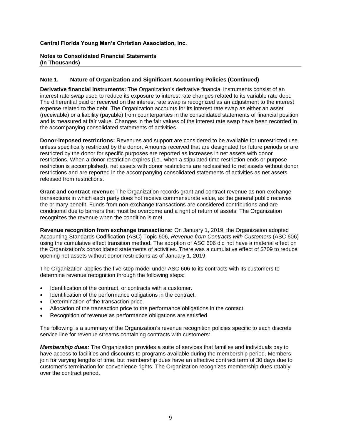#### **Notes to Consolidated Financial Statements (In Thousands)**

#### **Note 1. Nature of Organization and Significant Accounting Policies (Continued)**

**Derivative financial instruments:** The Organization's derivative financial instruments consist of an interest rate swap used to reduce its exposure to interest rate changes related to its variable rate debt. The differential paid or received on the interest rate swap is recognized as an adjustment to the interest expense related to the debt. The Organization accounts for its interest rate swap as either an asset (receivable) or a liability (payable) from counterparties in the consolidated statements of financial position and is measured at fair value. Changes in the fair values of the interest rate swap have been recorded in the accompanying consolidated statements of activities.

**Donor-imposed restrictions:** Revenues and support are considered to be available for unrestricted use unless specifically restricted by the donor. Amounts received that are designated for future periods or are restricted by the donor for specific purposes are reported as increases in net assets with donor restrictions. When a donor restriction expires (i.e., when a stipulated time restriction ends or purpose restriction is accomplished), net assets with donor restrictions are reclassified to net assets without donor restrictions and are reported in the accompanying consolidated statements of activities as net assets released from restrictions.

**Grant and contract revenue:** The Organization records grant and contract revenue as non-exchange transactions in which each party does not receive commensurate value, as the general public receives the primary benefit. Funds from non-exchange transactions are considered contributions and are conditional due to barriers that must be overcome and a right of return of assets. The Organization recognizes the revenue when the condition is met.

**Revenue recognition from exchange transactions:** On January 1, 2019, the Organization adopted Accounting Standards Codification (ASC) Topic 606, *Revenue from Contracts with Customers* (ASC 606) using the cumulative effect transition method. The adoption of ASC 606 did not have a material effect on the Organization's consolidated statements of activities. There was a cumulative effect of \$709 to reduce opening net assets without donor restrictions as of January 1, 2019.

The Organization applies the five-step model under ASC 606 to its contracts with its customers to determine revenue recognition through the following steps:

- Identification of the contract, or contracts with a customer.
- Identification of the performance obligations in the contract.
- Determination of the transaction price.
- Allocation of the transaction price to the performance obligations in the contact.
- Recognition of revenue as performance obligations are satisfied.

The following is a summary of the Organization's revenue recognition policies specific to each discrete service line for revenue streams containing contracts with customers:

*Membership dues:* The Organization provides a suite of services that families and individuals pay to have access to facilities and discounts to programs available during the membership period. Members join for varying lengths of time, but membership dues have an effective contract term of 30 days due to customer's termination for convenience rights. The Organization recognizes membership dues ratably over the contract period.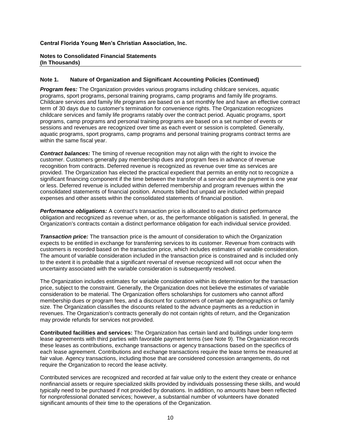#### **Notes to Consolidated Financial Statements (In Thousands)**

#### **Note 1. Nature of Organization and Significant Accounting Policies (Continued)**

*Program fees:* The Organization provides various programs including childcare services, aquatic programs, sport programs, personal training programs, camp programs and family life programs. Childcare services and family life programs are based on a set monthly fee and have an effective contract term of 30 days due to customer's termination for convenience rights. The Organization recognizes childcare services and family life programs ratably over the contract period. Aquatic programs, sport programs, camp programs and personal training programs are based on a set number of events or sessions and revenues are recognized over time as each event or session is completed. Generally, aquatic programs, sport programs, camp programs and personal training programs contract terms are within the same fiscal year.

*Contract balances:* The timing of revenue recognition may not align with the right to invoice the customer. Customers generally pay membership dues and program fees in advance of revenue recognition from contracts. Deferred revenue is recognized as revenue over time as services are provided. The Organization has elected the practical expedient that permits an entity not to recognize a significant financing component if the time between the transfer of a service and the payment is one year or less. Deferred revenue is included within deferred membership and program revenues within the consolidated statements of financial position. Amounts billed but unpaid are included within prepaid expenses and other assets within the consolidated statements of financial position.

**Performance obligations:** A contract's transaction price is allocated to each distinct performance obligation and recognized as revenue when, or as, the performance obligation is satisfied. In general, the Organization's contracts contain a distinct performance obligation for each individual service provided.

*Transaction price:* The transaction price is the amount of consideration to which the Organization expects to be entitled in exchange for transferring services to its customer. Revenue from contracts with customers is recorded based on the transaction price, which includes estimates of variable consideration. The amount of variable consideration included in the transaction price is constrained and is included only to the extent it is probable that a significant reversal of revenue recognized will not occur when the uncertainty associated with the variable consideration is subsequently resolved.

The Organization includes estimates for variable consideration within its determination for the transaction price, subject to the constraint. Generally, the Organization does not believe the estimates of variable consideration to be material. The Organization offers scholarships for customers who cannot afford membership dues or program fees, and a discount for customers of certain age demographics or family size. The Organization classifies the discounts related to the advance payments as a reduction in revenues. The Organization's contracts generally do not contain rights of return, and the Organization may provide refunds for services not provided.

**Contributed facilities and services:** The Organization has certain land and buildings under long-term lease agreements with third parties with favorable payment terms (see Note 9). The Organization records these leases as contributions, exchange transactions or agency transactions based on the specifics of each lease agreement. Contributions and exchange transactions require the lease terms be measured at fair value. Agency transactions, including those that are considered concession arrangements, do not require the Organization to record the lease activity.

Contributed services are recognized and recorded at fair value only to the extent they create or enhance nonfinancial assets or require specialized skills provided by individuals possessing these skills, and would typically need to be purchased if not provided by donations. In addition, no amounts have been reflected for nonprofessional donated services; however, a substantial number of volunteers have donated significant amounts of their time to the operations of the Organization.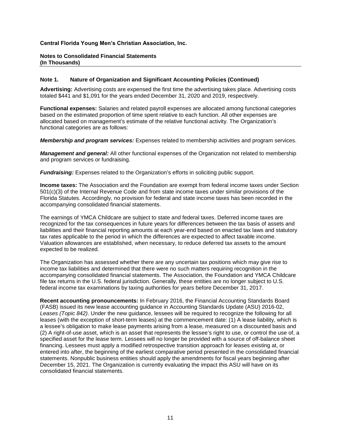#### **Notes to Consolidated Financial Statements (In Thousands)**

#### **Note 1. Nature of Organization and Significant Accounting Policies (Continued)**

**Advertising:** Advertising costs are expensed the first time the advertising takes place. Advertising costs totaled \$441 and \$1,091 for the years ended December 31, 2020 and 2019, respectively.

**Functional expenses:** Salaries and related payroll expenses are allocated among functional categories based on the estimated proportion of time spent relative to each function. All other expenses are allocated based on management's estimate of the relative functional activity. The Organization's functional categories are as follows:

*Membership and program services:* Expenses related to membership activities and program services.

*Management and general:* All other functional expenses of the Organization not related to membership and program services or fundraising.

*Fundraising:* Expenses related to the Organization's efforts in soliciting public support.

**Income taxes:** The Association and the Foundation are exempt from federal income taxes under Section 501(c)(3) of the Internal Revenue Code and from state income taxes under similar provisions of the Florida Statutes. Accordingly, no provision for federal and state income taxes has been recorded in the accompanying consolidated financial statements.

The earnings of YMCA Childcare are subject to state and federal taxes. Deferred income taxes are recognized for the tax consequences in future years for differences between the tax basis of assets and liabilities and their financial reporting amounts at each year-end based on enacted tax laws and statutory tax rates applicable to the period in which the differences are expected to affect taxable income. Valuation allowances are established, when necessary, to reduce deferred tax assets to the amount expected to be realized.

The Organization has assessed whether there are any uncertain tax positions which may give rise to income tax liabilities and determined that there were no such matters requiring recognition in the accompanying consolidated financial statements. The Association, the Foundation and YMCA Childcare file tax returns in the U.S. federal jurisdiction. Generally, these entities are no longer subject to U.S. federal income tax examinations by taxing authorities for years before December 31, 2017.

**Recent accounting pronouncements:** In February 2016, the Financial Accounting Standards Board (FASB) issued its new lease accounting guidance in Accounting Standards Update (ASU) 2016-02, *Leases (Topic 842)*. Under the new guidance, lessees will be required to recognize the following for all leases (with the exception of short-term leases) at the commencement date: (1) A lease liability, which is a lessee's obligation to make lease payments arising from a lease, measured on a discounted basis and (2) A right-of-use asset, which is an asset that represents the lessee's right to use, or control the use of, a specified asset for the lease term. Lessees will no longer be provided with a source of off-balance sheet financing. Lessees must apply a modified retrospective transition approach for leases existing at, or entered into after, the beginning of the earliest comparative period presented in the consolidated financial statements. Nonpublic business entities should apply the amendments for fiscal years beginning after December 15, 2021. The Organization is currently evaluating the impact this ASU will have on its consolidated financial statements.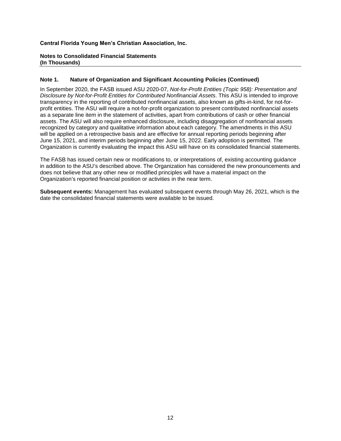#### **Notes to Consolidated Financial Statements (In Thousands)**

#### **Note 1. Nature of Organization and Significant Accounting Policies (Continued)**

In September 2020, the FASB issued ASU 2020-07, *Not-for-Profit Entities (Topic 958): Presentation and Disclosure by Not-for-Profit Entities for Contributed Nonfinancial Assets*. This ASU is intended to improve transparency in the reporting of contributed nonfinancial assets, also known as gifts-in-kind, for not-forprofit entities. The ASU will require a not-for-profit organization to present contributed nonfinancial assets as a separate line item in the statement of activities, apart from contributions of cash or other financial assets. The ASU will also require enhanced disclosure, including disaggregation of nonfinancial assets recognized by category and qualitative information about each category. The amendments in this ASU will be applied on a retrospective basis and are effective for annual reporting periods beginning after June 15, 2021, and interim periods beginning after June 15, 2022. Early adoption is permitted. The Organization is currently evaluating the impact this ASU will have on its consolidated financial statements.

The FASB has issued certain new or modifications to, or interpretations of, existing accounting guidance in addition to the ASU's described above. The Organization has considered the new pronouncements and does not believe that any other new or modified principles will have a material impact on the Organization's reported financial position or activities in the near term.

**Subsequent events:** Management has evaluated subsequent events through May 26, 2021, which is the date the consolidated financial statements were available to be issued.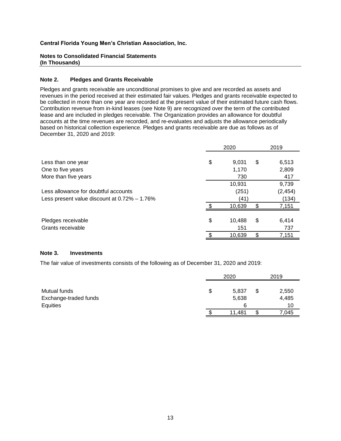#### **Notes to Consolidated Financial Statements (In Thousands)**

#### **Note 2. Pledges and Grants Receivable**

Pledges and grants receivable are unconditional promises to give and are recorded as assets and revenues in the period received at their estimated fair values. Pledges and grants receivable expected to be collected in more than one year are recorded at the present value of their estimated future cash flows. Contribution revenue from in-kind leases (see [Note 9\)](#page-20-0) are recognized over the term of the contributed lease and are included in pledges receivable. The Organization provides an allowance for doubtful accounts at the time revenues are recorded, and re-evaluates and adjusts the allowance periodically based on historical collection experience. Pledges and grants receivable are due as follows as of December 31, 2020 and 2019:

|                                                 | 2020 |        |     | 2019     |  |  |
|-------------------------------------------------|------|--------|-----|----------|--|--|
| Less than one year                              | \$   | 9,031  | \$  | 6,513    |  |  |
| One to five years                               |      | 1,170  |     | 2,809    |  |  |
| More than five years                            |      | 730    |     | 417      |  |  |
|                                                 |      | 10,931 |     | 9,739    |  |  |
| Less allowance for doubtful accounts            |      | (251)  |     | (2, 454) |  |  |
| Less present value discount at $0.72\%$ – 1.76% |      | (41)   |     | (134)    |  |  |
|                                                 |      | 10,639 | \$. | 7,151    |  |  |
| Pledges receivable                              | \$   | 10,488 | \$  | 6,414    |  |  |
| Grants receivable                               |      | 151    |     | 737      |  |  |
|                                                 |      | 10.639 | \$  | 7,151    |  |  |

#### **Note 3. Investments**

The fair value of investments consists of the following as of December 31, 2020 and 2019:

|                       | 2020 |        |   | 2019  |
|-----------------------|------|--------|---|-------|
|                       |      |        |   |       |
| Mutual funds          | S    | 5,837  | S | 2,550 |
| Exchange-traded funds |      | 5,638  |   | 4,485 |
| Equities              |      | 6      |   | 10    |
|                       |      | 11.481 |   | 7,045 |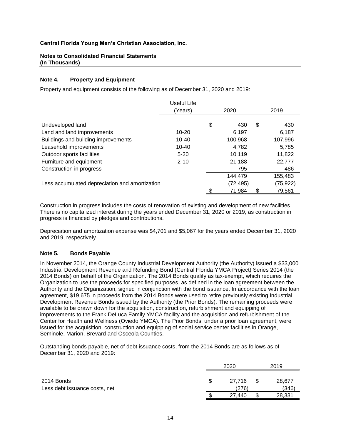#### **Notes to Consolidated Financial Statements (In Thousands)**

#### **Note 4. Property and Equipment**

Property and equipment consists of the following as of December 31, 2020 and 2019:

|                                                | Useful Life |           |              |  |  |
|------------------------------------------------|-------------|-----------|--------------|--|--|
|                                                | (Years)     | 2020      | 2019         |  |  |
|                                                |             |           |              |  |  |
| Undeveloped land                               |             | \$<br>430 | \$<br>430    |  |  |
| Land and land improvements                     | $10 - 20$   | 6.197     | 6,187        |  |  |
| Buildings and building improvements            | $10 - 40$   | 100,968   | 107,996      |  |  |
| Leasehold improvements                         | $10 - 40$   | 4,782     | 5,785        |  |  |
| Outdoor sports facilities                      | $5 - 20$    | 10,119    | 11,822       |  |  |
| Furniture and equipment                        | $2 - 10$    | 21,188    | 22,777       |  |  |
| Construction in progress                       |             | 795       | 486          |  |  |
|                                                |             | 144,479   | 155,483      |  |  |
| Less accumulated depreciation and amortization |             | (72, 495) | (75, 922)    |  |  |
|                                                |             | 71,984    | \$<br>79,561 |  |  |

Construction in progress includes the costs of renovation of existing and development of new facilities. There is no capitalized interest during the years ended December 31, 2020 or 2019, as construction in progress is financed by pledges and contributions.

Depreciation and amortization expense was \$4,701 and \$5,067 for the years ended December 31, 2020 and 2019, respectively.

#### **Note 5. Bonds Payable**

In November 2014, the Orange County Industrial Development Authority (the Authority) issued a \$33,000 Industrial Development Revenue and Refunding Bond (Central Florida YMCA Project) Series 2014 (the 2014 Bonds) on behalf of the Organization. The 2014 Bonds qualify as tax-exempt, which requires the Organization to use the proceeds for specified purposes, as defined in the loan agreement between the Authority and the Organization, signed in conjunction with the bond issuance. In accordance with the loan agreement, \$19,675 in proceeds from the 2014 Bonds were used to retire previously existing Industrial Development Revenue Bonds issued by the Authority (the Prior Bonds). The remaining proceeds were available to be drawn down for the acquisition, construction, refurbishment and equipping of improvements to the Frank DeLuca Family YMCA facility and the acquisition and refurbishment of the Center for Health and Wellness (Oviedo YMCA). The Prior Bonds, under a prior loan agreement, were issued for the acquisition, construction and equipping of social service center facilities in Orange, Seminole, Marion, Brevard and Osceola Counties.

Outstanding bonds payable, net of debt issuance costs, from the 2014 Bonds are as follows as of December 31, 2020 and 2019:

|                                             |   | 2020            | 2019 |                 |  |
|---------------------------------------------|---|-----------------|------|-----------------|--|
| 2014 Bonds<br>Less debt issuance costs, net | S | 27.716<br>(276) | S    | 28,677<br>(346) |  |
|                                             |   | .440<br>27      |      | 28,331          |  |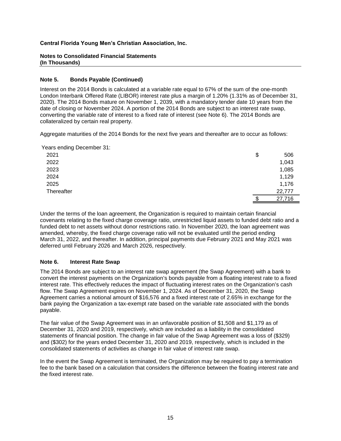#### **Notes to Consolidated Financial Statements (In Thousands)**

## **Note 5. Bonds Payable (Continued)**

Interest on the 2014 Bonds is calculated at a variable rate equal to 67% of the sum of the one-month London Interbank Offered Rate (LIBOR) interest rate plus a margin of 1.20% (1.31% as of December 31, 2020). The 2014 Bonds mature on November 1, 2039, with a mandatory tender date 10 years from the date of closing or November 2024. A portion of the 2014 Bonds are subject to an interest rate swap, converting the variable rate of interest to a fixed rate of interest (see [Note 6\)](#page-16-0). The 2014 Bonds are collateralized by certain real property.

Aggregate maturities of the 2014 Bonds for the next five years and thereafter are to occur as follows:

| Years ending December 31: |             |  |
|---------------------------|-------------|--|
| 2021                      | \$<br>506   |  |
| 2022                      | 1,043       |  |
| 2023                      | 1,085       |  |
| 2024                      | 1,129       |  |
| 2025                      | 1,176       |  |
| Thereafter                | 22,777      |  |
|                           | 27,716<br>S |  |

Under the terms of the loan agreement, the Organization is required to maintain certain financial covenants relating to the fixed charge coverage ratio, unrestricted liquid assets to funded debt ratio and a funded debt to net assets without donor restrictions ratio. In November 2020, the loan agreement was amended, whereby, the fixed charge coverage ratio will not be evaluated until the period ending March 31, 2022, and thereafter. In addition, principal payments due February 2021 and May 2021 was deferred until February 2026 and March 2026, respectively.

#### <span id="page-16-0"></span>**Note 6. Interest Rate Swap**

The 2014 Bonds are subject to an interest rate swap agreement (the Swap Agreement) with a bank to convert the interest payments on the Organization's bonds payable from a floating interest rate to a fixed interest rate. This effectively reduces the impact of fluctuating interest rates on the Organization's cash flow. The Swap Agreement expires on November 1, 2024. As of December 31, 2020, the Swap Agreement carries a notional amount of \$16,576 and a fixed interest rate of 2.65% in exchange for the bank paying the Organization a tax-exempt rate based on the variable rate associated with the bonds payable.

The fair value of the Swap Agreement was in an unfavorable position of \$1,508 and \$1,179 as of December 31, 2020 and 2019, respectively, which are included as a liability in the consolidated statements of financial position. The change in fair value of the Swap Agreement was a loss of (\$329) and (\$302) for the years ended December 31, 2020 and 2019, respectively, which is included in the consolidated statements of activities as change in fair value of interest rate swap.

In the event the Swap Agreement is terminated, the Organization may be required to pay a termination fee to the bank based on a calculation that considers the difference between the floating interest rate and the fixed interest rate.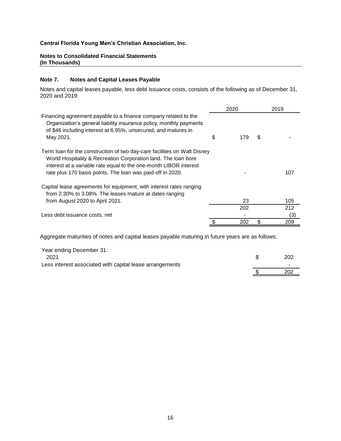#### **Notes to Consolidated Financial Statements (In Thousands)**

## **Note 7. Notes and Capital Leases Payable**

Notes and capital leases payable, less debt issuance costs, consists of the following as of December 31, 2020 and 2019:

|                                                                                                                                                                                                                                                                               | 2020 | 2019 |
|-------------------------------------------------------------------------------------------------------------------------------------------------------------------------------------------------------------------------------------------------------------------------------|------|------|
| Financing agreement payable to a finance company related to the<br>Organization's general liability insurance policy, monthly payments<br>of \$46 including interest at 6.95%, unsecured, and matures in                                                                      | 179  | \$   |
| May 2021.                                                                                                                                                                                                                                                                     | \$   |      |
| Term loan for the construction of two day-care facilities on Walt Disney<br>World Hospitality & Recreation Corporation land. The loan bore<br>interest at a variable rate equal to the one-month LIBOR interest<br>rate plus 170 basis points. The loan was paid-off in 2020. |      | 107  |
| Capital lease agreements for equipment, with interest rates ranging                                                                                                                                                                                                           |      |      |
| from 2.30% to 3.08%. The leases mature at dates ranging                                                                                                                                                                                                                       |      |      |
| from August 2020 to April 2021.                                                                                                                                                                                                                                               | 23   | 105  |
|                                                                                                                                                                                                                                                                               | 202  | 212  |
| Less debt issuance costs, net                                                                                                                                                                                                                                                 |      | (3)  |
|                                                                                                                                                                                                                                                                               | 202  | 209  |

Aggregate maturities of notes and capital leases payable maturing in future years are as follows:

| Year ending December 31:                                 |     |
|----------------------------------------------------------|-----|
| 2021                                                     | 202 |
| Less interest associated with capital lease arrangements |     |
|                                                          | 202 |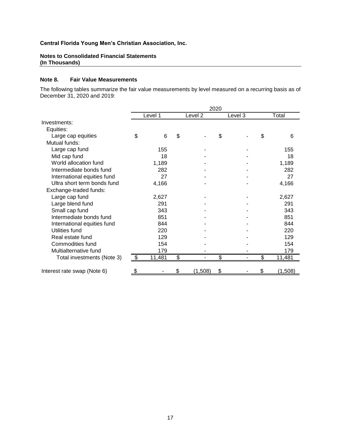# **Notes to Consolidated Financial Statements (In Thousands)**

#### **Note 8. Fair Value Measurements**

The following tables summarize the fair value measurements by level measured on a recurring basis as of December 31, 2020 and 2019:

|                             | 2020 |         |    |                    |     |         |     |         |
|-----------------------------|------|---------|----|--------------------|-----|---------|-----|---------|
|                             |      | Level 1 |    | Level <sub>2</sub> |     | Level 3 |     | Total   |
| Investments:                |      |         |    |                    |     |         |     |         |
| Equities:                   |      |         |    |                    |     |         |     |         |
| Large cap equities          | \$   | 6       | \$ |                    | \$  |         | \$  | 6       |
| Mutual funds:               |      |         |    |                    |     |         |     |         |
| Large cap fund              |      | 155     |    |                    |     |         |     | 155     |
| Mid cap fund                |      | 18      |    |                    |     |         |     | 18      |
| World allocation fund       |      | 1,189   |    |                    |     |         |     | 1,189   |
| Intermediate bonds fund     |      | 282     |    |                    |     |         |     | 282     |
| International equities fund |      | 27      |    |                    |     |         |     | 27      |
| Ultra short term bonds fund |      | 4,166   |    |                    |     |         |     | 4,166   |
| Exchange-traded funds:      |      |         |    |                    |     |         |     |         |
| Large cap fund              |      | 2,627   |    |                    |     |         |     | 2,627   |
| Large blend fund            |      | 291     |    |                    |     |         |     | 291     |
| Small cap fund              |      | 343     |    |                    |     |         |     | 343     |
| Intermediate bonds fund     |      | 851     |    |                    |     |         |     | 851     |
| International equities fund |      | 844     |    |                    |     |         |     | 844     |
| Utilities fund              |      | 220     |    |                    |     |         |     | 220     |
| Real estate fund            |      | 129     |    |                    |     |         |     | 129     |
| Commodities fund            |      | 154     |    |                    |     |         |     | 154     |
| Multialternative fund       |      | 179     |    |                    |     |         |     | 179     |
| Total investments (Note 3)  | \$   | 11,481  | \$ |                    | \$. |         | \$. | 11,481  |
| Interest rate swap (Note 6) |      |         |    | (1,508)            | S   |         |     | (1,508) |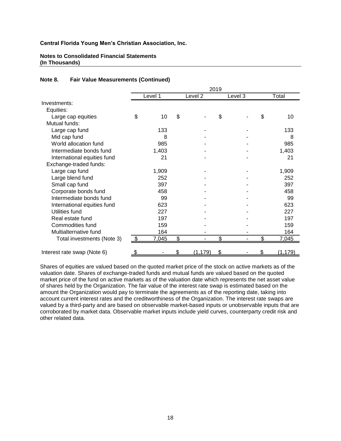#### **Notes to Consolidated Financial Statements (In Thousands)**

|                             | 2019 |         |    |          |    |         |     |          |
|-----------------------------|------|---------|----|----------|----|---------|-----|----------|
|                             |      | Level 1 |    | Level 2  |    | Level 3 |     | Total    |
| Investments:                |      |         |    |          |    |         |     |          |
| Equities:                   |      |         |    |          |    |         |     |          |
| Large cap equities          | \$   | 10      | \$ |          | \$ |         | \$  | 10       |
| Mutual funds:               |      |         |    |          |    |         |     |          |
| Large cap fund              |      | 133     |    |          |    |         |     | 133      |
| Mid cap fund                |      | 8       |    |          |    |         |     | 8        |
| World allocation fund       |      | 985     |    |          |    |         |     | 985      |
| Intermediate bonds fund     |      | 1,403   |    |          |    |         |     | 1,403    |
| International equities fund |      | 21      |    |          |    |         |     | 21       |
| Exchange-traded funds:      |      |         |    |          |    |         |     |          |
| Large cap fund              |      | 1,909   |    |          |    |         |     | 1,909    |
| Large blend fund            |      | 252     |    |          |    |         |     | 252      |
| Small cap fund              |      | 397     |    |          |    |         |     | 397      |
| Corporate bonds fund        |      | 458     |    |          |    |         |     | 458      |
| Intermediate bonds fund     |      | 99      |    |          |    |         |     | 99       |
| International equities fund |      | 623     |    |          |    |         |     | 623      |
| Utilities fund              |      | 227     |    |          |    |         |     | 227      |
| Real estate fund            |      | 197     |    |          |    |         |     | 197      |
| Commodities fund            |      | 159     |    |          |    |         |     | 159      |
| Multialternative fund       |      | 164     |    |          |    |         |     | 164      |
| Total investments (Note 3)  | \$   | 7,045   | \$ |          | \$ |         | \$. | 7,045    |
| Interest rate swap (Note 6) |      |         |    | (1, 179) |    |         |     | (1, 179) |

#### **Note 8. Fair Value Measurements (Continued)**

Shares of equities are valued based on the quoted market price of the stock on active markets as of the valuation date. Shares of exchange-traded funds and mutual funds are valued based on the quoted market price of the fund on active markets as of the valuation date which represents the net asset value of shares held by the Organization. The fair value of the interest rate swap is estimated based on the amount the Organization would pay to terminate the agreements as of the reporting date, taking into account current interest rates and the creditworthiness of the Organization. The interest rate swaps are valued by a third-party and are based on observable market-based inputs or unobservable inputs that are corroborated by market data. Observable market inputs include yield curves, counterparty credit risk and other related data.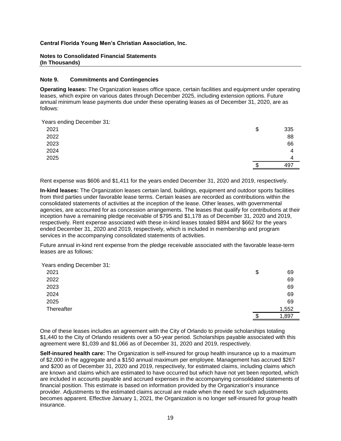#### **Notes to Consolidated Financial Statements (In Thousands)**

#### <span id="page-20-0"></span>**Note 9. Commitments and Contingencies**

**Operating leases:** The Organization leases office space, certain facilities and equipment under operating leases, which expire on various dates through December 2025, including extension options. Future annual minimum lease payments due under these operating leases as of December 31, 2020, are as follows:

Years ending December 31:

| $\tilde{\phantom{a}}$<br>2021 | \$<br>335 |
|-------------------------------|-----------|
| 2022                          | 88        |
| 2023                          | 66        |
| 2024                          | 4         |
| 2025                          | 4         |
|                               | 497       |

Rent expense was \$606 and \$1,411 for the years ended December 31, 2020 and 2019, respectively.

**In-kind leases:** The Organization leases certain land, buildings, equipment and outdoor sports facilities from third parties under favorable lease terms. Certain leases are recorded as contributions within the consolidated statements of activities at the inception of the lease. Other leases, with governmental agencies, are accounted for as concession arrangements. The leases that qualify for contributions at their inception have a remaining pledge receivable of \$795 and \$1,178 as of December 31, 2020 and 2019, respectively. Rent expense associated with these in-kind leases totaled \$894 and \$662 for the years ended December 31, 2020 and 2019, respectively, which is included in membership and program services in the accompanying consolidated statements of activities.

Future annual in-kind rent expense from the pledge receivable associated with the favorable lease-term leases are as follows:

| Years ending December 31: |          |
|---------------------------|----------|
| 2021                      | \$<br>69 |
| 2022                      | 69       |
| 2023                      | 69       |
| 2024                      | 69       |
| 2025                      | 69       |
| Thereafter                | 1,552    |
|                           | 1,897    |

One of these leases includes an agreement with the City of Orlando to provide scholarships totaling \$1,440 to the City of Orlando residents over a 50-year period. Scholarships payable associated with this agreement were \$1,039 and \$1,066 as of December 31, 2020 and 2019, respectively.

**Self-insured health care:** The Organization is self-insured for group health insurance up to a maximum of \$2,000 in the aggregate and a \$150 annual maximum per employee. Management has accrued \$267 and \$200 as of December 31, 2020 and 2019, respectively, for estimated claims, including claims which are known and claims which are estimated to have occurred but which have not yet been reported, which are included in accounts payable and accrued expenses in the accompanying consolidated statements of financial position. This estimate is based on information provided by the Organization's insurance provider. Adjustments to the estimated claims accrual are made when the need for such adjustments becomes apparent. Effective January 1, 2021, the Organization is no longer self-insured for group health insurance.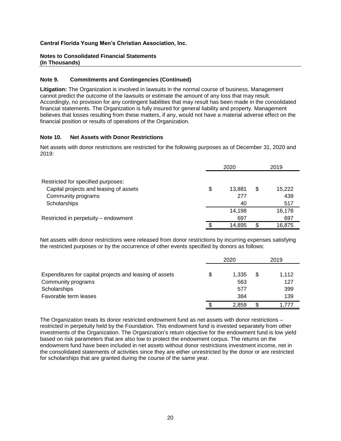#### **Notes to Consolidated Financial Statements (In Thousands)**

## **Note 9. Commitments and Contingencies (Continued)**

**Litigation:** The Organization is involved in lawsuits in the normal course of business. Management cannot predict the outcome of the lawsuits or estimate the amount of any loss that may result. Accordingly, no provision for any contingent liabilities that may result has been made in the consolidated financial statements. The Organization is fully insured for general liability and property. Management believes that losses resulting from these matters, if any, would not have a material adverse effect on the financial position or results of operations of the Organization.

## **Note 10. Net Assets with Donor Restrictions**

Net assets with donor restrictions are restricted for the following purposes as of December 31, 2020 and 2019:

|                                                                              |    | 2020   |    | 2019   |
|------------------------------------------------------------------------------|----|--------|----|--------|
|                                                                              |    |        |    |        |
| Restricted for specified purposes:<br>Capital projects and leasing of assets | \$ | 13.881 | S  | 15,222 |
| Community programs                                                           |    | 277    |    | 439    |
| Scholarships                                                                 |    | 40     |    | 517    |
|                                                                              |    | 14,198 |    | 16,178 |
| Restricted in perpetuity – endowment                                         |    | 697    |    | 697    |
|                                                                              | S  | 14.895 | \$ | 16,875 |

Net assets with donor restrictions were released from donor restrictions by incurring expenses satisfying the restricted purposes or by the occurrence of other events specified by donors as follows:

|                                                         |   | 2020  | 2019         |
|---------------------------------------------------------|---|-------|--------------|
|                                                         |   |       |              |
| Expenditures for capital projects and leasing of assets | S | 1.335 | 1,112        |
| Community programs                                      |   | 563   | 127          |
| Scholarships                                            |   | 577   | 399          |
| Favorable term leases                                   |   | 384   | 139          |
|                                                         |   | 2.859 | l. <i>ll</i> |

The Organization treats its donor restricted endowment fund as net assets with donor restrictions – restricted in perpetuity held by the Foundation. This endowment fund is invested separately from other investments of the Organization. The Organization's return objective for the endowment fund is low yield based on risk parameters that are also low to protect the endowment corpus. The returns on the endowment fund have been included in net assets without donor restrictions investment income, net in the consolidated statements of activities since they are either unrestricted by the donor or are restricted for scholarships that are granted during the course of the same year.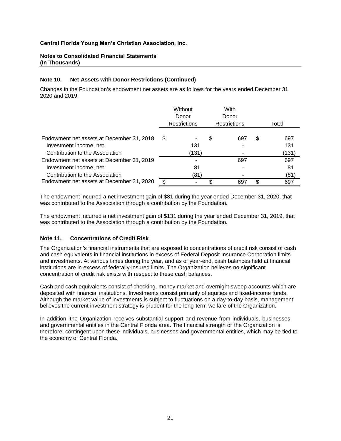#### **Notes to Consolidated Financial Statements (In Thousands)**

#### **Note 10. Net Assets with Donor Restrictions (Continued)**

Changes in the Foundation's endowment net assets are as follows for the years ended December 31, 2020 and 2019:

|                                                                     |    | Without<br>Donor    | With<br>Donor       |   |            |
|---------------------------------------------------------------------|----|---------------------|---------------------|---|------------|
|                                                                     |    | <b>Restrictions</b> | <b>Restrictions</b> |   | Total      |
| Endowment net assets at December 31, 2018<br>Investment income, net | S  | 131                 | \$<br>697           | S | 697<br>131 |
| Contribution to the Association                                     |    | (131)               |                     |   | (131)      |
| Endowment net assets at December 31, 2019                           |    |                     | 697                 |   | 697        |
| Investment income, net                                              |    | 81                  |                     |   | 81         |
| Contribution to the Association                                     |    | (81)                |                     |   | (81)       |
| Endowment net assets at December 31, 2020                           | \$ |                     | 697                 |   | 697        |

The endowment incurred a net investment gain of \$81 during the year ended December 31, 2020, that was contributed to the Association through a contribution by the Foundation.

The endowment incurred a net investment gain of \$131 during the year ended December 31, 2019, that was contributed to the Association through a contribution by the Foundation.

#### **Note 11. Concentrations of Credit Risk**

The Organization's financial instruments that are exposed to concentrations of credit risk consist of cash and cash equivalents in financial institutions in excess of Federal Deposit Insurance Corporation limits and investments. At various times during the year, and as of year-end, cash balances held at financial institutions are in excess of federally-insured limits. The Organization believes no significant concentration of credit risk exists with respect to these cash balances.

Cash and cash equivalents consist of checking, money market and overnight sweep accounts which are deposited with financial institutions. Investments consist primarily of equities and fixed-income funds. Although the market value of investments is subject to fluctuations on a day-to-day basis, management believes the current investment strategy is prudent for the long-term welfare of the Organization.

In addition, the Organization receives substantial support and revenue from individuals, businesses and governmental entities in the Central Florida area. The financial strength of the Organization is therefore, contingent upon these individuals, businesses and governmental entities, which may be tied to the economy of Central Florida.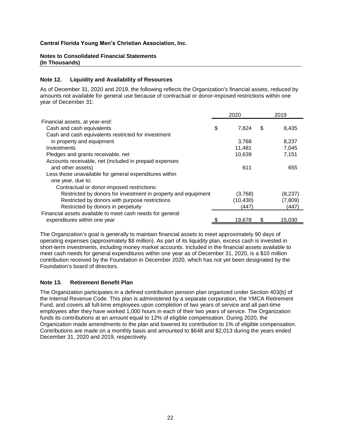#### **Notes to Consolidated Financial Statements (In Thousands)**

## **Note 12. Liquidity and Availability of Resources**

As of December 31, 2020 and 2019, the following reflects the Organization's financial assets, reduced by amounts not available for general use because of contractual or donor-imposed restrictions within one year of December 31:

|                                                               | 2020 |           |   | 2019    |
|---------------------------------------------------------------|------|-----------|---|---------|
| Financial assets, at year-end:                                |      |           |   |         |
| Cash and cash equivalents                                     | \$   | 7.824     | S | 8,435   |
| Cash and cash equivalents restricted for investment           |      |           |   |         |
| in property and equipment                                     |      | 3,768     |   | 8,237   |
| Investments                                                   |      | 11,481    |   | 7,045   |
| Pledges and grants receivable, net                            |      | 10,639    |   | 7,151   |
| Accounts receivable, net (included in prepaid expenses        |      |           |   |         |
| and other assets)                                             |      | 611       |   | 655     |
| Less those unavailable for general expenditures within        |      |           |   |         |
| one year, due to:                                             |      |           |   |         |
| Contractual or donor-imposed restrictions:                    |      |           |   |         |
| Restricted by donors for investment in property and equipment |      | (3,768)   |   | (8,237) |
| Restricted by donors with purpose restrictions                |      | (10, 430) |   | (7,809) |
| Restricted by donors in perpetuity                            |      | (447)     |   | (447)   |
| Financial assets available to meet cash needs for general     |      |           |   |         |
| expenditures within one year                                  | \$   | 19,678    |   | 15,030  |

The Organization's goal is generally to maintain financial assets to meet approximately 90 days of operating expenses (approximately \$8 million). As part of its liquidity plan, excess cash is invested in short-term investments, including money market accounts. Included in the financial assets available to meet cash needs for general expenditures within one year as of December 31, 2020, is a \$10 million contribution received by the Foundation in December 2020, which has not yet been designated by the Foundation's board of directors.

#### **Note 13. Retirement Benefit Plan**

The Organization participates in a defined contribution pension plan organized under Section 403(b) of the Internal Revenue Code. This plan is administered by a separate corporation, the YMCA Retirement Fund, and covers all full-time employees upon completion of two years of service and all part-time employees after they have worked 1,000 hours in each of their two years of service. The Organization funds its contributions at an amount equal to 12% of eligible compensation. During 2020, the Organization made amendments to the plan and lowered its contribution to 1% of eligible compensation. Contributions are made on a monthly basis and amounted to \$648 and \$2,013 during the years ended December 31, 2020 and 2019, respectively.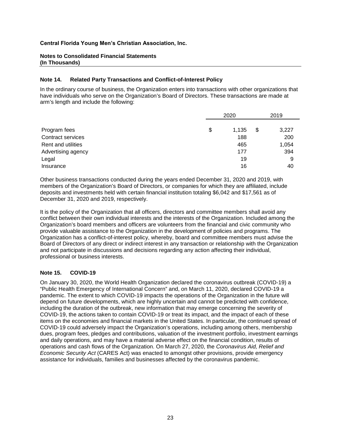#### **Notes to Consolidated Financial Statements (In Thousands)**

#### **Note 14. Related Party Transactions and Conflict-of-Interest Policy**

In the ordinary course of business, the Organization enters into transactions with other organizations that have individuals who serve on the Organization's Board of Directors. These transactions are made at arm's length and include the following:

|                    | 2020 |       |    | 2019  |
|--------------------|------|-------|----|-------|
|                    |      |       |    |       |
| Program fees       | \$   | 1,135 | \$ | 3,227 |
| Contract services  |      | 188   |    | 200   |
| Rent and utilities |      | 465   |    | 1,054 |
| Advertising agency |      | 177   |    | 394   |
| Legal              |      | 19    |    | 9     |
| Insurance          |      | 16    |    | 40    |

Other business transactions conducted during the years ended December 31, 2020 and 2019, with members of the Organization's Board of Directors, or companies for which they are affiliated, include deposits and investments held with certain financial institution totaling \$6,042 and \$17,561 as of December 31, 2020 and 2019, respectively.

It is the policy of the Organization that all officers, directors and committee members shall avoid any conflict between their own individual interests and the interests of the Organization. Included among the Organization's board members and officers are volunteers from the financial and civic community who provide valuable assistance to the Organization in the development of policies and programs. The Organization has a conflict-of-interest policy, whereby, board and committee members must advise the Board of Directors of any direct or indirect interest in any transaction or relationship with the Organization and not participate in discussions and decisions regarding any action affecting their individual, professional or business interests.

#### **Note 15. COVID-19**

On January 30, 2020, the World Health Organization declared the coronavirus outbreak (COVID-19) a "Public Health Emergency of International Concern" and, on March 11, 2020, declared COVID-19 a pandemic. The extent to which COVID-19 impacts the operations of the Organization in the future will depend on future developments, which are highly uncertain and cannot be predicted with confidence, including the duration of the outbreak, new information that may emerge concerning the severity of COVID-19, the actions taken to contain COVID-19 or treat its impact, and the impact of each of these items on the economies and financial markets in the United States. In particular, the continued spread of COVID-19 could adversely impact the Organization's operations, including among others, membership dues, program fees, pledges and contributions, valuation of the investment portfolio, investment earnings and daily operations, and may have a material adverse effect on the financial condition, results of operations and cash flows of the Organization. On March 27, 2020, the *Coronavirus Aid, Relief and Economic Security Act* (CARES Act) was enacted to amongst other provisions, provide emergency assistance for individuals, families and businesses affected by the coronavirus pandemic.